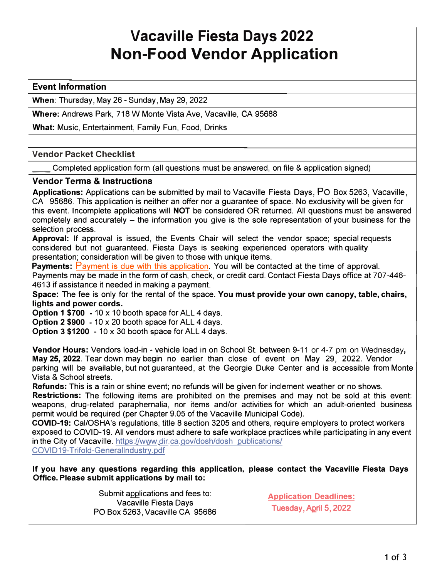## **Vacaville Fiesta Days 2022 Non-Food Vendor Application**

## **Event Information**

**When:** Thursday, May 26 - Sunday, May 29, 2022

**Where:** Andrews Park, 718 W Monte Vista Ave, Vacaville, CA 95688

**What:** Music, Entertainment, Family Fun, Food, Drinks

### **Vendor Packet Checklist**

\_\_ Completed application form (all questions must be answered, on file & application signed)

### **Vendor Terms & Instructions**

**Applications:** Applications can be submitted by mail to Vacaville Fiesta Days, PO Box 5263, Vacaville, CA 95686. This application is neither an offer nor a guarantee of space. No exclusivity will be given for this event. Incomplete applications will **NOT** be considered OR returned. All questions must be answered completely and accurately - the information you give is the sole representation of your business for the selection process.

**Approval:** If approval is issued, the Events Chair will select the vendor space; special requests considered but not guaranteed. Fiesta Days is seeking experienced operators with quality presentation; consideration will be given to those with unique items.

**Payments:** Payment is due with this application. You will be contacted at the time of approval. Payments may be made in the form of cash, check, or credit card. Contact Fiesta Days office at 707-446- 4613 if assistance it needed in making a payment.

**Space:** The fee is only for the rental of the space. **You must provide your own canopy, table, chairs, lights and power cords.** 

**Option 1 \$700 -** 10 x 10 booth space for ALL 4 days.

**Option 2 \$900 -** 10 x 20 booth space for ALL 4 days.

**Option 3 \$1200 -** 10 x 30 booth space for ALL 4 days.

**Vendor Hours:** Vendors load-in - vehicle load in on School St. between 9-11 or 4-7 pm on Wednesday**, May 25, 2022.** Tear down may begin no earlier than close of event on May 29, 2022. Vendor parking will be available, but not guaranteed, at the Georgie Duke Center and is accessible from Monte Vista & School streets.

**Refunds:** This is a rain or shine event; no refunds will be given for inclement weather or no shows. **Restrictions:** The following items are prohibited on the premises and may not be sold at this event: weapons, drug-related paraphernalia, nor items and/or activities for which an adult-oriented business permit would be required (per Chapter 9.05 of the Vacaville Municipal Code).

**COVID-19:** Cal/OSHA's regulations, title 8 section 3205 and others, require employers to protect workers exposed to COVID-19. All vendors must adhere to safe workplace practices while participating in any event in the City of Vacaville. https://www.dir.ca.gov/dosh/dosh publications/ COVID19-Trifold-Generallndustry.pdf

**If you have any questions regarding this application, please contact the Vacaville Fiesta Days Office. Please submit applications by mail to:** 

> Submit applications and fees to: Vacaville Fiesta Days PO Box 5263, Vacaville CA 95686

**Application Deadlines:**  Tuesday, April 5, 2022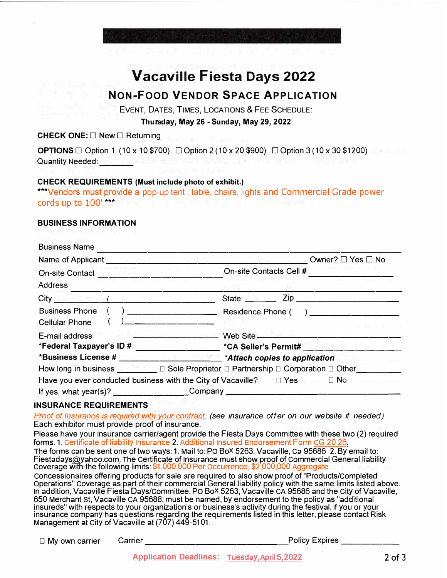# **Vacaville Fiesta Days 2022**

## **NON-FOOD VENDOR SPACE APPLICATION**

EVENT, DATES, TIMES, LOCATIONS & FEE SCHEDULE:

**Thursday, May 26 - Sunday, May 29, 2022**

**CHECK ONE:** □ New □ Returning

**OPTIONS** □ Option 1 (10 x 10 \$700) □ Option 2 (10 x 20 \$900) □ Option 3 (10 x 30 \$1200) Quantity Needed: \_\_\_

## **CHECK REQUIREMENTS (Must include photo of exhibit.)**

\*\*\*Vendors must provide a pop-up tent, table, chairs, lights and Commercial Grade power cords up to 100' \*\*\*

## **BUSINESS INFORMATION**

| <b>Business Name</b>                                                                    |                                                        |
|-----------------------------------------------------------------------------------------|--------------------------------------------------------|
| Name of Applicant Name of Applicant                                                     | Owner? $\Box$ Yes $\Box$ No                            |
| On-site Contact ____________________                                                    | On-site Contacts Cell #                                |
| <b>Address</b>                                                                          |                                                        |
| $City$ ( $\qquad \qquad$ (                                                              | State <u>Zip Zip</u>                                   |
| <b>Business Phone</b>                                                                   |                                                        |
| <b>Cellular Phone</b><br><u> 1980 - Jan James, martin amerikan</u>                      |                                                        |
| E-mail address                                                                          | <b>EXAMPLE 2004</b> Web Site <b>Contract 2006</b> Site |
|                                                                                         |                                                        |
|                                                                                         |                                                        |
|                                                                                         |                                                        |
| Have you ever conducted business with the City of Vacaville? $\square$ Yes $\square$ No |                                                        |
| If yes, what year(s)? ___________________Company _______________________________        |                                                        |

## **INSURANCE REQUIREMENTS**

Proof of Insurance is required with your contract. (see insurance offer on our website if needed) Each exhibitor must provide proof of insurance.

Please have your Insurance carrier/agent provide the Fiesta Days Committee with these two (2) required forms. 1. Certificate of liability Insurance 2. Additional Insured Endorsement Form CG 20 26. The forms can be sent one of two ways: 1. Mail to: PO Box 5263, Vacaville, Ca 95686 2. By email to: Fiestadays@yahoo.com. The Certificate of Insurance must show proof of Commercial General liability Coverage with the following limits: \$1,000,000 Per Occurrence, \$2,000,000 Aggregate. Concessionaires offering products for sale are required to also show proof of "Products/Completed Operations" Coverage as part of their commercial General liability policy with the same limits listed above. In addition, Vacaville Fiesta Days/Committee, PO Box 5263, Vacaville CA 95686 and the City of Vacaville, 650 Merchant St, Vacaville CA 95688, must be named, by endorsement to the policy as "additional insureds" with respects to your organization's or business's activity during the festival. If you or your insurance company has questions regarding the requirements listed in this letter, please contact Risk Management at City of Vacaville at (707) 449-5101.

| $\Box$ My own carrier | Carrier | <b>Policy Expires</b> |
|-----------------------|---------|-----------------------|
|                       |         |                       |